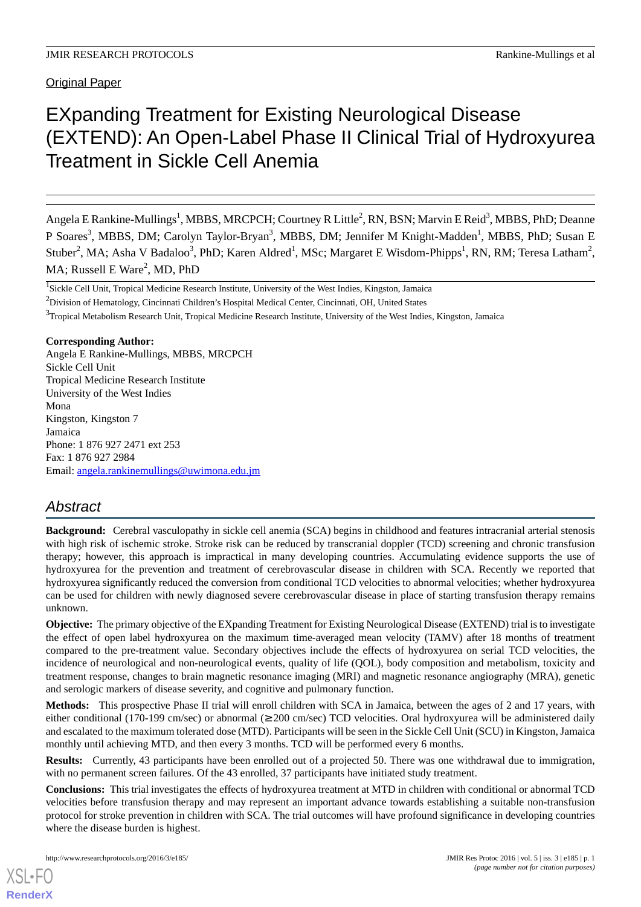Original Paper

# EXpanding Treatment for Existing Neurological Disease (EXTEND): An Open-Label Phase II Clinical Trial of Hydroxyurea Treatment in Sickle Cell Anemia

Angela E Rankine-Mullings<sup>1</sup>, MBBS, MRCPCH; Courtney R Little<sup>2</sup>, RN, BSN; Marvin E Reid<sup>3</sup>, MBBS, PhD; Deanne P Soares<sup>3</sup>, MBBS, DM; Carolyn Taylor-Bryan<sup>3</sup>, MBBS, DM; Jennifer M Knight-Madden<sup>1</sup>, MBBS, PhD; Susan E Stuber<sup>2</sup>, MA; Asha V Badaloo<sup>3</sup>, PhD; Karen Aldred<sup>1</sup>, MSc; Margaret E Wisdom-Phipps<sup>1</sup>, RN, RM; Teresa Latham<sup>2</sup>, MA; Russell E Ware<sup>2</sup>, MD, PhD

<sup>2</sup>Division of Hematology, Cincinnati Children's Hospital Medical Center, Cincinnati, OH, United States

<sup>3</sup>Tropical Metabolism Research Unit, Tropical Medicine Research Institute, University of the West Indies, Kingston, Jamaica

#### **Corresponding Author:**

Angela E Rankine-Mullings, MBBS, MRCPCH Sickle Cell Unit Tropical Medicine Research Institute University of the West Indies Mona Kingston, Kingston 7 Jamaica Phone: 1 876 927 2471 ext 253 Fax: 1 876 927 2984 Email: [angela.rankinemullings@uwimona.edu.jm](mailto:angela.rankinemullings@uwimona.edu.jm)

# *Abstract*

**Background:** Cerebral vasculopathy in sickle cell anemia (SCA) begins in childhood and features intracranial arterial stenosis with high risk of ischemic stroke. Stroke risk can be reduced by transcranial doppler (TCD) screening and chronic transfusion therapy; however, this approach is impractical in many developing countries. Accumulating evidence supports the use of hydroxyurea for the prevention and treatment of cerebrovascular disease in children with SCA. Recently we reported that hydroxyurea significantly reduced the conversion from conditional TCD velocities to abnormal velocities; whether hydroxyurea can be used for children with newly diagnosed severe cerebrovascular disease in place of starting transfusion therapy remains unknown.

**Objective:** The primary objective of the EXpanding Treatment for Existing Neurological Disease (EXTEND) trial is to investigate the effect of open label hydroxyurea on the maximum time-averaged mean velocity (TAMV) after 18 months of treatment compared to the pre-treatment value. Secondary objectives include the effects of hydroxyurea on serial TCD velocities, the incidence of neurological and non-neurological events, quality of life (QOL), body composition and metabolism, toxicity and treatment response, changes to brain magnetic resonance imaging (MRI) and magnetic resonance angiography (MRA), genetic and serologic markers of disease severity, and cognitive and pulmonary function.

**Methods:** This prospective Phase II trial will enroll children with SCA in Jamaica, between the ages of 2 and 17 years, with either conditional (170-199 cm/sec) or abnormal (≥ 200 cm/sec) TCD velocities. Oral hydroxyurea will be administered daily and escalated to the maximum tolerated dose (MTD). Participants will be seen in the Sickle Cell Unit (SCU) in Kingston, Jamaica monthly until achieving MTD, and then every 3 months. TCD will be performed every 6 months.

**Results:** Currently, 43 participants have been enrolled out of a projected 50. There was one withdrawal due to immigration, with no permanent screen failures. Of the 43 enrolled, 37 participants have initiated study treatment.

**Conclusions:** This trial investigates the effects of hydroxyurea treatment at MTD in children with conditional or abnormal TCD velocities before transfusion therapy and may represent an important advance towards establishing a suitable non-transfusion protocol for stroke prevention in children with SCA. The trial outcomes will have profound significance in developing countries where the disease burden is highest.

[XSL](http://www.w3.org/Style/XSL)•FO **[RenderX](http://www.renderx.com/)**

<sup>&</sup>lt;sup>1</sup>Sickle Cell Unit, Tropical Medicine Research Institute, University of the West Indies, Kingston, Jamaica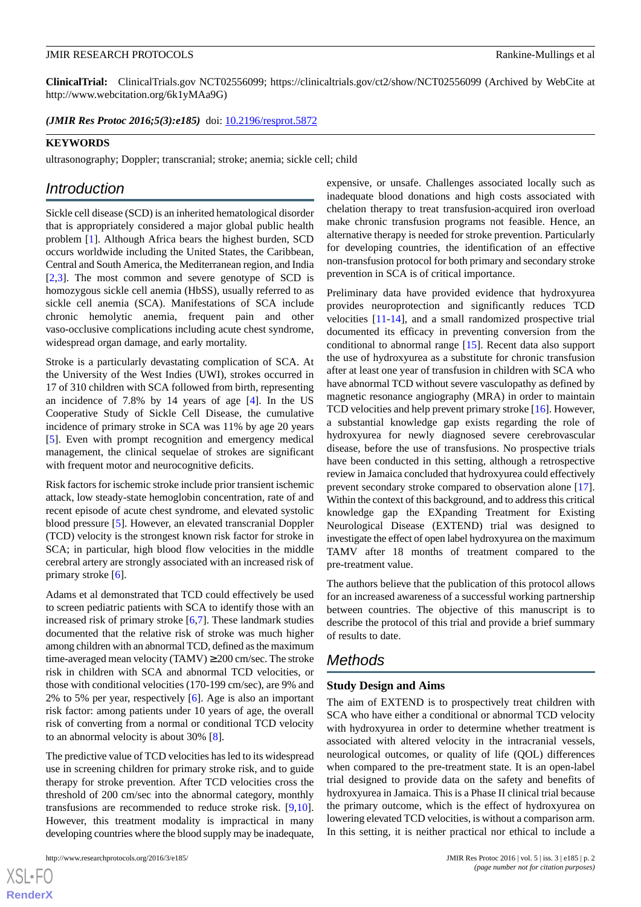**ClinicalTrial:** ClinicalTrials.gov NCT02556099; https://clinicaltrials.gov/ct2/show/NCT02556099 (Archived by WebCite at http://www.webcitation.org/6k1yMAa9G)

(JMIR Res Protoc 2016;5(3):e185) doi: [10.2196/resprot.5872](http://dx.doi.org/10.2196/resprot.5872)

#### **KEYWORDS**

ultrasonography; Doppler; transcranial; stroke; anemia; sickle cell; child

### *Introduction*

Sickle cell disease (SCD) is an inherited hematological disorder that is appropriately considered a major global public health problem [\[1\]](#page-5-0). Although Africa bears the highest burden, SCD occurs worldwide including the United States, the Caribbean, Central and South America, the Mediterranean region, and India [[2](#page-5-1)[,3](#page-5-2)]. The most common and severe genotype of SCD is homozygous sickle cell anemia (HbSS), usually referred to as sickle cell anemia (SCA). Manifestations of SCA include chronic hemolytic anemia, frequent pain and other vaso-occlusive complications including acute chest syndrome, widespread organ damage, and early mortality.

Stroke is a particularly devastating complication of SCA. At the University of the West Indies (UWI), strokes occurred in 17 of 310 children with SCA followed from birth, representing an incidence of 7.8% by 14 years of age [\[4](#page-5-3)]. In the US Cooperative Study of Sickle Cell Disease, the cumulative incidence of primary stroke in SCA was 11% by age 20 years [[5\]](#page-5-4). Even with prompt recognition and emergency medical management, the clinical sequelae of strokes are significant with frequent motor and neurocognitive deficits.

Risk factors for ischemic stroke include prior transient ischemic attack, low steady-state hemoglobin concentration, rate of and recent episode of acute chest syndrome, and elevated systolic blood pressure [\[5](#page-5-4)]. However, an elevated transcranial Doppler (TCD) velocity is the strongest known risk factor for stroke in SCA; in particular, high blood flow velocities in the middle cerebral artery are strongly associated with an increased risk of primary stroke [[6\]](#page-5-5).

Adams et al demonstrated that TCD could effectively be used to screen pediatric patients with SCA to identify those with an increased risk of primary stroke [\[6](#page-5-5),[7](#page-6-0)]. These landmark studies documented that the relative risk of stroke was much higher among children with an abnormal TCD, defined as the maximum time-averaged mean velocity (TAMV)  $\geq$  200 cm/sec. The stroke risk in children with SCA and abnormal TCD velocities, or those with conditional velocities (170-199 cm/sec), are 9% and 2% to 5% per year, respectively [\[6](#page-5-5)]. Age is also an important risk factor: among patients under 10 years of age, the overall risk of converting from a normal or conditional TCD velocity to an abnormal velocity is about 30% [[8\]](#page-6-1).

The predictive value of TCD velocities has led to its widespread use in screening children for primary stroke risk, and to guide therapy for stroke prevention. After TCD velocities cross the threshold of 200 cm/sec into the abnormal category, monthly transfusions are recommended to reduce stroke risk. [\[9](#page-6-2),[10\]](#page-6-3). However, this treatment modality is impractical in many developing countries where the blood supply may be inadequate,

 $XS$  $\cdot$ FC **[RenderX](http://www.renderx.com/)** expensive, or unsafe. Challenges associated locally such as inadequate blood donations and high costs associated with chelation therapy to treat transfusion-acquired iron overload make chronic transfusion programs not feasible. Hence, an alternative therapy is needed for stroke prevention. Particularly for developing countries, the identification of an effective non-transfusion protocol for both primary and secondary stroke prevention in SCA is of critical importance.

Preliminary data have provided evidence that hydroxyurea provides neuroprotection and significantly reduces TCD velocities [\[11](#page-6-4)-[14\]](#page-6-5), and a small randomized prospective trial documented its efficacy in preventing conversion from the conditional to abnormal range [\[15](#page-6-6)]. Recent data also support the use of hydroxyurea as a substitute for chronic transfusion after at least one year of transfusion in children with SCA who have abnormal TCD without severe vasculopathy as defined by magnetic resonance angiography (MRA) in order to maintain TCD velocities and help prevent primary stroke [[16\]](#page-6-7). However, a substantial knowledge gap exists regarding the role of hydroxyurea for newly diagnosed severe cerebrovascular disease, before the use of transfusions. No prospective trials have been conducted in this setting, although a retrospective review in Jamaica concluded that hydroxyurea could effectively prevent secondary stroke compared to observation alone [[17\]](#page-6-8). Within the context of this background, and to address this critical knowledge gap the EXpanding Treatment for Existing Neurological Disease (EXTEND) trial was designed to investigate the effect of open label hydroxyurea on the maximum TAMV after 18 months of treatment compared to the pre-treatment value.

The authors believe that the publication of this protocol allows for an increased awareness of a successful working partnership between countries. The objective of this manuscript is to describe the protocol of this trial and provide a brief summary of results to date.

## *Methods*

#### **Study Design and Aims**

The aim of EXTEND is to prospectively treat children with SCA who have either a conditional or abnormal TCD velocity with hydroxyurea in order to determine whether treatment is associated with altered velocity in the intracranial vessels, neurological outcomes, or quality of life (QOL) differences when compared to the pre-treatment state. It is an open-label trial designed to provide data on the safety and benefits of hydroxyurea in Jamaica. This is a Phase II clinical trial because the primary outcome, which is the effect of hydroxyurea on lowering elevated TCD velocities, is without a comparison arm. In this setting, it is neither practical nor ethical to include a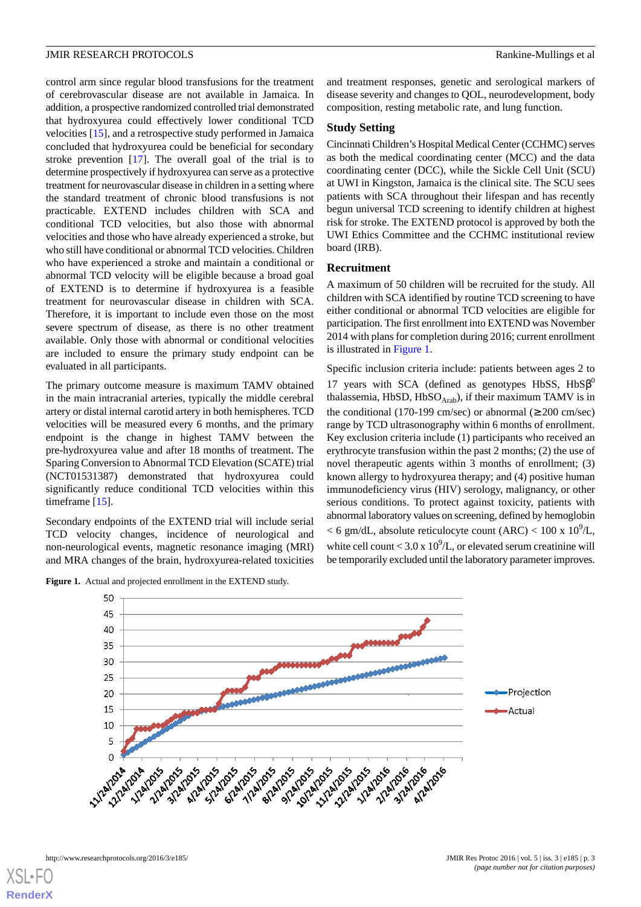control arm since regular blood transfusions for the treatment of cerebrovascular disease are not available in Jamaica. In addition, a prospective randomized controlled trial demonstrated that hydroxyurea could effectively lower conditional TCD velocities [\[15](#page-6-6)], and a retrospective study performed in Jamaica concluded that hydroxyurea could be beneficial for secondary stroke prevention [[17\]](#page-6-8). The overall goal of the trial is to determine prospectively if hydroxyurea can serve as a protective treatment for neurovascular disease in children in a setting where the standard treatment of chronic blood transfusions is not practicable. EXTEND includes children with SCA and conditional TCD velocities, but also those with abnormal velocities and those who have already experienced a stroke, but who still have conditional or abnormal TCD velocities. Children who have experienced a stroke and maintain a conditional or abnormal TCD velocity will be eligible because a broad goal of EXTEND is to determine if hydroxyurea is a feasible treatment for neurovascular disease in children with SCA. Therefore, it is important to include even those on the most severe spectrum of disease, as there is no other treatment available. Only those with abnormal or conditional velocities are included to ensure the primary study endpoint can be evaluated in all participants.

The primary outcome measure is maximum TAMV obtained in the main intracranial arteries, typically the middle cerebral artery or distal internal carotid artery in both hemispheres. TCD velocities will be measured every 6 months, and the primary endpoint is the change in highest TAMV between the pre-hydroxyurea value and after 18 months of treatment. The Sparing Conversion to Abnormal TCD Elevation (SCATE) trial (NCT01531387) demonstrated that hydroxyurea could significantly reduce conditional TCD velocities within this timeframe [\[15](#page-6-6)].

<span id="page-2-0"></span>Secondary endpoints of the EXTEND trial will include serial TCD velocity changes, incidence of neurological and non-neurological events, magnetic resonance imaging (MRI) and MRA changes of the brain, hydroxyurea-related toxicities

**Figure 1.** Actual and projected enrollment in the EXTEND study.

and treatment responses, genetic and serological markers of disease severity and changes to QOL, neurodevelopment, body composition, resting metabolic rate, and lung function.

#### **Study Setting**

Cincinnati Children's Hospital Medical Center (CCHMC) serves as both the medical coordinating center (MCC) and the data coordinating center (DCC), while the Sickle Cell Unit (SCU) at UWI in Kingston, Jamaica is the clinical site. The SCU sees patients with SCA throughout their lifespan and has recently begun universal TCD screening to identify children at highest risk for stroke. The EXTEND protocol is approved by both the UWI Ethics Committee and the CCHMC institutional review board (IRB).

#### **Recruitment**

A maximum of 50 children will be recruited for the study. All children with SCA identified by routine TCD screening to have either conditional or abnormal TCD velocities are eligible for participation. The first enrollment into EXTEND was November 2014 with plans for completion during 2016; current enrollment is illustrated in [Figure 1](#page-2-0).

Specific inclusion criteria include: patients between ages 2 to 17 years with SCA (defined as genotypes HbSS,  $HbS\beta^0$ thalassemia, HbSD, HbSO $_{Arab}$ ), if their maximum TAMV is in the conditional (170-199 cm/sec) or abnormal ( $\geq 200$  cm/sec) range by TCD ultrasonography within 6 months of enrollment. Key exclusion criteria include (1) participants who received an erythrocyte transfusion within the past 2 months; (2) the use of novel therapeutic agents within 3 months of enrollment; (3) known allergy to hydroxyurea therapy; and (4) positive human immunodeficiency virus (HIV) serology, malignancy, or other serious conditions. To protect against toxicity, patients with abnormal laboratory values on screening, defined by hemoglobin

 $<$  6 gm/dL, absolute reticulocyte count (ARC)  $<$  100 x 10<sup>9</sup>/L, white cell count <  $3.0 \times 10^9$ /L, or elevated serum creatinine will be temporarily excluded until the laboratory parameter improves.



[XSL](http://www.w3.org/Style/XSL)•FO **[RenderX](http://www.renderx.com/)**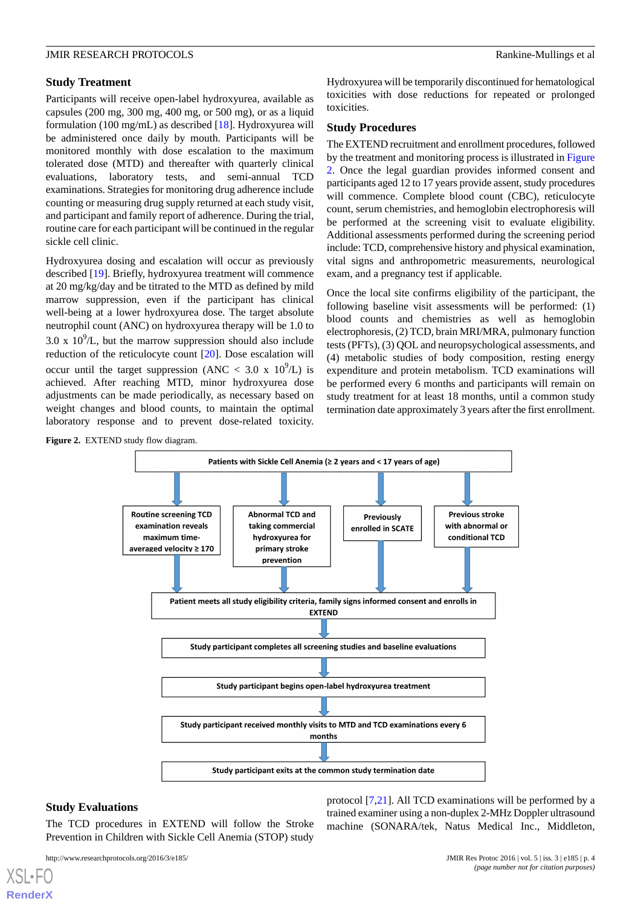#### **Study Treatment**

Participants will receive open-label hydroxyurea, available as capsules (200 mg, 300 mg, 400 mg, or 500 mg), or as a liquid formulation (100 mg/mL) as described [[18\]](#page-6-9). Hydroxyurea will be administered once daily by mouth. Participants will be monitored monthly with dose escalation to the maximum tolerated dose (MTD) and thereafter with quarterly clinical evaluations, laboratory tests, and semi-annual TCD examinations. Strategies for monitoring drug adherence include counting or measuring drug supply returned at each study visit, and participant and family report of adherence. During the trial, routine care for each participant will be continued in the regular sickle cell clinic.

Hydroxyurea dosing and escalation will occur as previously described [[19\]](#page-6-10). Briefly, hydroxyurea treatment will commence at 20 mg/kg/day and be titrated to the MTD as defined by mild marrow suppression, even if the participant has clinical well-being at a lower hydroxyurea dose. The target absolute neutrophil count (ANC) on hydroxyurea therapy will be 1.0 to 3.0 x  $10^9$ /L, but the marrow suppression should also include reduction of the reticulocyte count [[20\]](#page-6-11). Dose escalation will occur until the target suppression (ANC < 3.0 x  $10^9$ /L) is achieved. After reaching MTD, minor hydroxyurea dose adjustments can be made periodically, as necessary based on weight changes and blood counts, to maintain the optimal laboratory response and to prevent dose-related toxicity.

Hydroxyurea will be temporarily discontinued for hematological toxicities with dose reductions for repeated or prolonged toxicities.

#### **Study Procedures**

The EXTEND recruitment and enrollment procedures, followed by the treatment and monitoring process is illustrated in [Figure](#page-3-0) [2.](#page-3-0) Once the legal guardian provides informed consent and participants aged 12 to 17 years provide assent, study procedures will commence. Complete blood count (CBC), reticulocyte count, serum chemistries, and hemoglobin electrophoresis will be performed at the screening visit to evaluate eligibility. Additional assessments performed during the screening period include: TCD, comprehensive history and physical examination, vital signs and anthropometric measurements, neurological exam, and a pregnancy test if applicable.

Once the local site confirms eligibility of the participant, the following baseline visit assessments will be performed: (1) blood counts and chemistries as well as hemoglobin electrophoresis, (2) TCD, brain MRI/MRA, pulmonary function tests (PFTs), (3) QOL and neuropsychological assessments, and (4) metabolic studies of body composition, resting energy expenditure and protein metabolism. TCD examinations will be performed every 6 months and participants will remain on study treatment for at least 18 months, until a common study termination date approximately 3 years after the first enrollment.

<span id="page-3-0"></span>

#### **Study Evaluations**

[XSL](http://www.w3.org/Style/XSL)•FO **[RenderX](http://www.renderx.com/)**

The TCD procedures in EXTEND will follow the Stroke Prevention in Children with Sickle Cell Anemia (STOP) study

protocol [[7](#page-6-0)[,21](#page-6-12)]. All TCD examinations will be performed by a trained examiner using a non-duplex 2-MHz Doppler ultrasound machine (SONARA/tek, Natus Medical Inc., Middleton,

http://www.researchprotocols.org/2016/3/e185/ JMIR Res Protoc 2016 | vol. 5 | iss. 3 | e185 | p. 4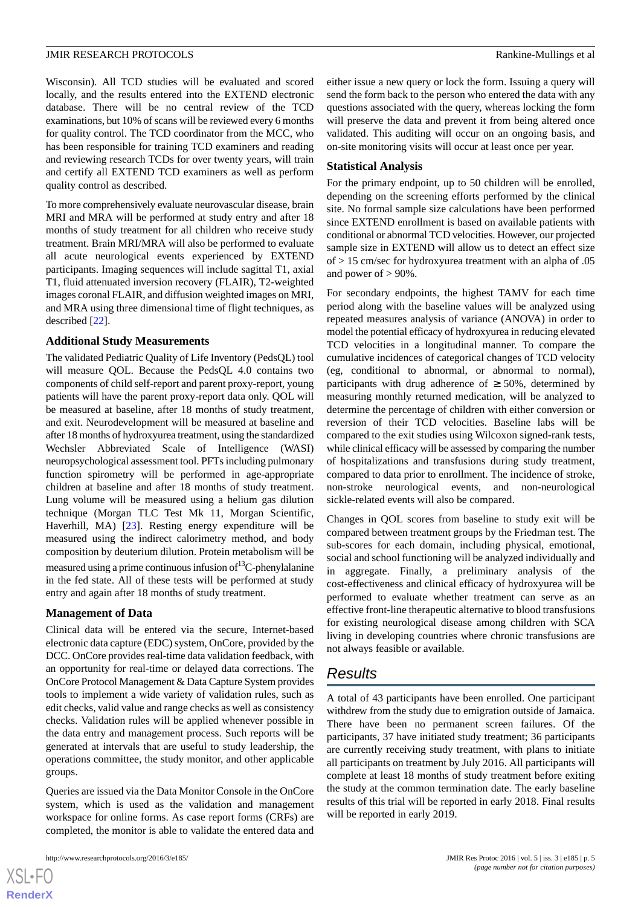Wisconsin). All TCD studies will be evaluated and scored locally, and the results entered into the EXTEND electronic database. There will be no central review of the TCD examinations, but 10% of scans will be reviewed every 6 months for quality control. The TCD coordinator from the MCC, who has been responsible for training TCD examiners and reading and reviewing research TCDs for over twenty years, will train and certify all EXTEND TCD examiners as well as perform quality control as described.

To more comprehensively evaluate neurovascular disease, brain MRI and MRA will be performed at study entry and after 18 months of study treatment for all children who receive study treatment. Brain MRI/MRA will also be performed to evaluate all acute neurological events experienced by EXTEND participants. Imaging sequences will include sagittal T1, axial T1, fluid attenuated inversion recovery (FLAIR), T2-weighted images coronal FLAIR, and diffusion weighted images on MRI, and MRA using three dimensional time of flight techniques, as described [[22\]](#page-6-13).

#### **Additional Study Measurements**

The validated Pediatric Quality of Life Inventory (PedsQL) tool will measure QOL. Because the PedsQL 4.0 contains two components of child self-report and parent proxy-report, young patients will have the parent proxy-report data only. QOL will be measured at baseline, after 18 months of study treatment, and exit. Neurodevelopment will be measured at baseline and after 18 months of hydroxyurea treatment, using the standardized Wechsler Abbreviated Scale of Intelligence (WASI) neuropsychological assessment tool. PFTs including pulmonary function spirometry will be performed in age-appropriate children at baseline and after 18 months of study treatment. Lung volume will be measured using a helium gas dilution technique (Morgan TLC Test Mk 11, Morgan Scientific, Haverhill, MA) [[23\]](#page-6-14). Resting energy expenditure will be measured using the indirect calorimetry method, and body composition by deuterium dilution. Protein metabolism will be measured using a prime continuous infusion of  $13^{\circ}$ C-phenylalanine in the fed state. All of these tests will be performed at study entry and again after 18 months of study treatment.

#### **Management of Data**

Clinical data will be entered via the secure, Internet-based electronic data capture (EDC) system, OnCore, provided by the DCC. OnCore provides real-time data validation feedback, with an opportunity for real-time or delayed data corrections. The OnCore Protocol Management & Data Capture System provides tools to implement a wide variety of validation rules, such as edit checks, valid value and range checks as well as consistency checks. Validation rules will be applied whenever possible in the data entry and management process. Such reports will be generated at intervals that are useful to study leadership, the operations committee, the study monitor, and other applicable groups.

Queries are issued via the Data Monitor Console in the OnCore system, which is used as the validation and management workspace for online forms. As case report forms (CRFs) are completed, the monitor is able to validate the entered data and

either issue a new query or lock the form. Issuing a query will send the form back to the person who entered the data with any questions associated with the query, whereas locking the form will preserve the data and prevent it from being altered once validated. This auditing will occur on an ongoing basis, and on-site monitoring visits will occur at least once per year.

#### **Statistical Analysis**

For the primary endpoint, up to 50 children will be enrolled, depending on the screening efforts performed by the clinical site. No formal sample size calculations have been performed since EXTEND enrollment is based on available patients with conditional or abnormal TCD velocities. However, our projected sample size in EXTEND will allow us to detect an effect size of > 15 cm/sec for hydroxyurea treatment with an alpha of .05 and power of  $> 90\%$ .

For secondary endpoints, the highest TAMV for each time period along with the baseline values will be analyzed using repeated measures analysis of variance (ANOVA) in order to model the potential efficacy of hydroxyurea in reducing elevated TCD velocities in a longitudinal manner. To compare the cumulative incidences of categorical changes of TCD velocity (eg, conditional to abnormal, or abnormal to normal), participants with drug adherence of  $\geq$  50%, determined by measuring monthly returned medication, will be analyzed to determine the percentage of children with either conversion or reversion of their TCD velocities. Baseline labs will be compared to the exit studies using Wilcoxon signed-rank tests, while clinical efficacy will be assessed by comparing the number of hospitalizations and transfusions during study treatment, compared to data prior to enrollment. The incidence of stroke, non-stroke neurological events, and non-neurological sickle-related events will also be compared.

Changes in QOL scores from baseline to study exit will be compared between treatment groups by the Friedman test. The sub-scores for each domain, including physical, emotional, social and school functioning will be analyzed individually and in aggregate. Finally, a preliminary analysis of the cost-effectiveness and clinical efficacy of hydroxyurea will be performed to evaluate whether treatment can serve as an effective front-line therapeutic alternative to blood transfusions for existing neurological disease among children with SCA living in developing countries where chronic transfusions are not always feasible or available.

# *Results*

A total of 43 participants have been enrolled. One participant withdrew from the study due to emigration outside of Jamaica. There have been no permanent screen failures. Of the participants, 37 have initiated study treatment; 36 participants are currently receiving study treatment, with plans to initiate all participants on treatment by July 2016. All participants will complete at least 18 months of study treatment before exiting the study at the common termination date. The early baseline results of this trial will be reported in early 2018. Final results will be reported in early 2019.

 $XS$  $\cdot$ FC **[RenderX](http://www.renderx.com/)**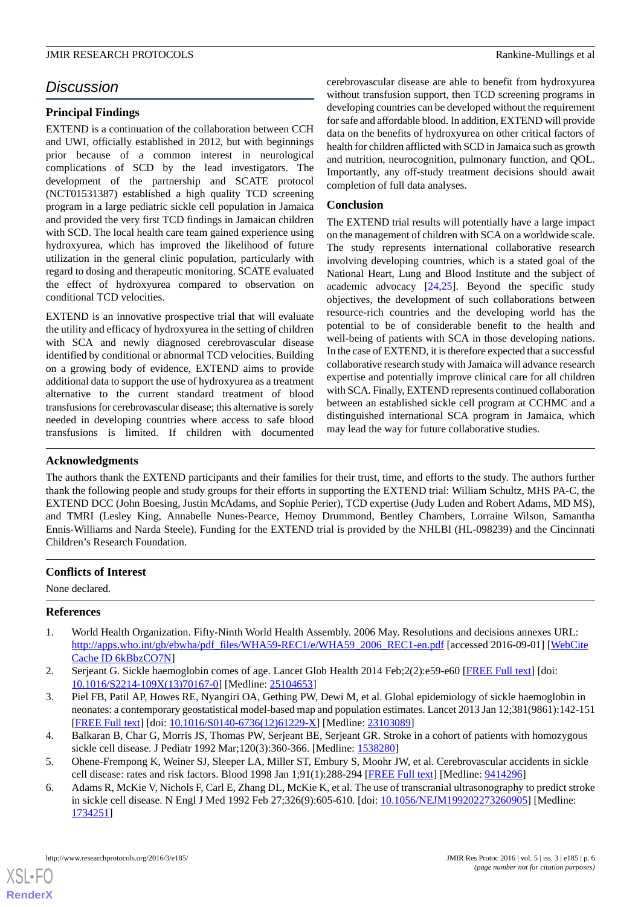# *Discussion*

#### **Principal Findings**

EXTEND is a continuation of the collaboration between CCH and UWI, officially established in 2012, but with beginnings prior because of a common interest in neurological complications of SCD by the lead investigators. The development of the partnership and SCATE protocol (NCT01531387) established a high quality TCD screening program in a large pediatric sickle cell population in Jamaica and provided the very first TCD findings in Jamaican children with SCD. The local health care team gained experience using hydroxyurea, which has improved the likelihood of future utilization in the general clinic population, particularly with regard to dosing and therapeutic monitoring. SCATE evaluated the effect of hydroxyurea compared to observation on conditional TCD velocities.

EXTEND is an innovative prospective trial that will evaluate the utility and efficacy of hydroxyurea in the setting of children with SCA and newly diagnosed cerebrovascular disease identified by conditional or abnormal TCD velocities. Building on a growing body of evidence, EXTEND aims to provide additional data to support the use of hydroxyurea as a treatment alternative to the current standard treatment of blood transfusions for cerebrovascular disease; this alternative is sorely needed in developing countries where access to safe blood transfusions is limited. If children with documented

cerebrovascular disease are able to benefit from hydroxyurea without transfusion support, then TCD screening programs in developing countries can be developed without the requirement for safe and affordable blood. In addition, EXTEND will provide data on the benefits of hydroxyurea on other critical factors of health for children afflicted with SCD in Jamaica such as growth and nutrition, neurocognition, pulmonary function, and QOL. Importantly, any off-study treatment decisions should await completion of full data analyses.

#### **Conclusion**

The EXTEND trial results will potentially have a large impact on the management of children with SCA on a worldwide scale. The study represents international collaborative research involving developing countries, which is a stated goal of the National Heart, Lung and Blood Institute and the subject of academic advocacy [[24,](#page-6-15)[25](#page-6-16)]. Beyond the specific study objectives, the development of such collaborations between resource-rich countries and the developing world has the potential to be of considerable benefit to the health and well-being of patients with SCA in those developing nations. In the case of EXTEND, it is therefore expected that a successful collaborative research study with Jamaica will advance research expertise and potentially improve clinical care for all children with SCA. Finally, EXTEND represents continued collaboration between an established sickle cell program at CCHMC and a distinguished international SCA program in Jamaica, which may lead the way for future collaborative studies.

#### **Acknowledgments**

The authors thank the EXTEND participants and their families for their trust, time, and efforts to the study. The authors further thank the following people and study groups for their efforts in supporting the EXTEND trial: William Schultz, MHS PA-C, the EXTEND DCC (John Boesing, Justin McAdams, and Sophie Perier), TCD expertise (Judy Luden and Robert Adams, MD MS), and TMRI (Lesley King, Annabelle Nunes-Pearce, Hemoy Drummond, Bentley Chambers, Lorraine Wilson, Samantha Ennis-Williams and Narda Steele). Funding for the EXTEND trial is provided by the NHLBI (HL-098239) and the Cincinnati Children's Research Foundation.

#### <span id="page-5-0"></span>**Conflicts of Interest**

None declared.

#### <span id="page-5-1"></span>**References**

- <span id="page-5-2"></span>1. World Health Organization. Fifty-Ninth World Health Assembly. 2006 May. Resolutions and decisions annexes URL: [http://apps.who.int/gb/ebwha/pdf\\_files/WHA59-REC1/e/WHA59\\_2006\\_REC1-en.pdf](http://apps.who.int/gb/ebwha/pdf_files/WHA59-REC1/e/WHA59_2006_REC1-en.pdf) [accessed 2016-09-01] [[WebCite](http://www.webcitation.org/

                                6kBbzCO7N) [Cache ID 6kBbzCO7N](http://www.webcitation.org/

                                6kBbzCO7N)]
- <span id="page-5-3"></span>2. Serjeant G. Sickle haemoglobin comes of age. Lancet Glob Health 2014 Feb;2(2):e59-e60 [\[FREE Full text\]](http://linkinghub.elsevier.com/retrieve/pii/S2214-109X(13)70167-0) [doi: [10.1016/S2214-109X\(13\)70167-0\]](http://dx.doi.org/10.1016/S2214-109X(13)70167-0) [Medline: [25104653\]](http://www.ncbi.nlm.nih.gov/entrez/query.fcgi?cmd=Retrieve&db=PubMed&list_uids=25104653&dopt=Abstract)
- <span id="page-5-5"></span><span id="page-5-4"></span>3. Piel FB, Patil AP, Howes RE, Nyangiri OA, Gething PW, Dewi M, et al. Global epidemiology of sickle haemoglobin in neonates: a contemporary geostatistical model-based map and population estimates. Lancet 2013 Jan 12;381(9861):142-151 [[FREE Full text](http://linkinghub.elsevier.com/retrieve/pii/S0140-6736(12)61229-X)] [doi: [10.1016/S0140-6736\(12\)61229-X\]](http://dx.doi.org/10.1016/S0140-6736(12)61229-X) [Medline: [23103089\]](http://www.ncbi.nlm.nih.gov/entrez/query.fcgi?cmd=Retrieve&db=PubMed&list_uids=23103089&dopt=Abstract)
- 4. Balkaran B, Char G, Morris JS, Thomas PW, Serjeant BE, Serjeant GR. Stroke in a cohort of patients with homozygous sickle cell disease. J Pediatr 1992 Mar;120(3):360-366. [Medline: [1538280](http://www.ncbi.nlm.nih.gov/entrez/query.fcgi?cmd=Retrieve&db=PubMed&list_uids=1538280&dopt=Abstract)]
- 5. Ohene-Frempong K, Weiner SJ, Sleeper LA, Miller ST, Embury S, Moohr JW, et al. Cerebrovascular accidents in sickle cell disease: rates and risk factors. Blood 1998 Jan 1;91(1):288-294 [\[FREE Full text\]](http://www.bloodjournal.org/cgi/pmidlookup?view=long&pmid=9414296) [Medline: [9414296](http://www.ncbi.nlm.nih.gov/entrez/query.fcgi?cmd=Retrieve&db=PubMed&list_uids=9414296&dopt=Abstract)]
- 6. Adams R, McKie V, Nichols F, Carl E, Zhang DL, McKie K, et al. The use of transcranial ultrasonography to predict stroke in sickle cell disease. N Engl J Med 1992 Feb 27;326(9):605-610. [doi: [10.1056/NEJM199202273260905](http://dx.doi.org/10.1056/NEJM199202273260905)] [Medline: [1734251\]](http://www.ncbi.nlm.nih.gov/entrez/query.fcgi?cmd=Retrieve&db=PubMed&list_uids=1734251&dopt=Abstract)

[XSL](http://www.w3.org/Style/XSL)•FO **[RenderX](http://www.renderx.com/)**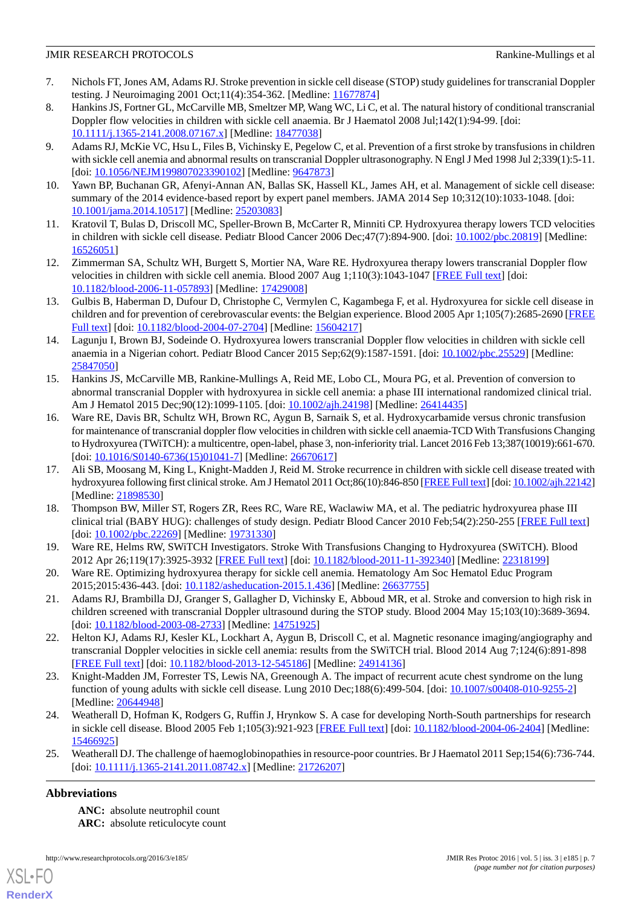- <span id="page-6-0"></span>7. Nichols FT, Jones AM, Adams RJ. Stroke prevention in sickle cell disease (STOP) study guidelines for transcranial Doppler testing. J Neuroimaging 2001 Oct;11(4):354-362. [Medline: [11677874](http://www.ncbi.nlm.nih.gov/entrez/query.fcgi?cmd=Retrieve&db=PubMed&list_uids=11677874&dopt=Abstract)]
- <span id="page-6-1"></span>8. Hankins JS, Fortner GL, McCarville MB, Smeltzer MP, Wang WC, Li C, et al. The natural history of conditional transcranial Doppler flow velocities in children with sickle cell anaemia. Br J Haematol 2008 Jul;142(1):94-99. [doi: [10.1111/j.1365-2141.2008.07167.x\]](http://dx.doi.org/10.1111/j.1365-2141.2008.07167.x) [Medline: [18477038\]](http://www.ncbi.nlm.nih.gov/entrez/query.fcgi?cmd=Retrieve&db=PubMed&list_uids=18477038&dopt=Abstract)
- <span id="page-6-2"></span>9. Adams RJ, McKie VC, Hsu L, Files B, Vichinsky E, Pegelow C, et al. Prevention of a first stroke by transfusions in children with sickle cell anemia and abnormal results on transcranial Doppler ultrasonography. N Engl J Med 1998 Jul 2;339(1):5-11. [doi: [10.1056/NEJM199807023390102](http://dx.doi.org/10.1056/NEJM199807023390102)] [Medline: [9647873](http://www.ncbi.nlm.nih.gov/entrez/query.fcgi?cmd=Retrieve&db=PubMed&list_uids=9647873&dopt=Abstract)]
- <span id="page-6-4"></span><span id="page-6-3"></span>10. Yawn BP, Buchanan GR, Afenyi-Annan AN, Ballas SK, Hassell KL, James AH, et al. Management of sickle cell disease: summary of the 2014 evidence-based report by expert panel members. JAMA 2014 Sep 10;312(10):1033-1048. [doi: [10.1001/jama.2014.10517](http://dx.doi.org/10.1001/jama.2014.10517)] [Medline: [25203083](http://www.ncbi.nlm.nih.gov/entrez/query.fcgi?cmd=Retrieve&db=PubMed&list_uids=25203083&dopt=Abstract)]
- 11. Kratovil T, Bulas D, Driscoll MC, Speller-Brown B, McCarter R, Minniti CP. Hydroxyurea therapy lowers TCD velocities in children with sickle cell disease. Pediatr Blood Cancer 2006 Dec;47(7):894-900. [doi: [10.1002/pbc.20819](http://dx.doi.org/10.1002/pbc.20819)] [Medline: [16526051](http://www.ncbi.nlm.nih.gov/entrez/query.fcgi?cmd=Retrieve&db=PubMed&list_uids=16526051&dopt=Abstract)]
- 12. Zimmerman SA, Schultz WH, Burgett S, Mortier NA, Ware RE. Hydroxyurea therapy lowers transcranial Doppler flow velocities in children with sickle cell anemia. Blood 2007 Aug 1;110(3):1043-1047 [\[FREE Full text\]](http://www.bloodjournal.org/cgi/pmidlookup?view=long&pmid=17429008) [doi: [10.1182/blood-2006-11-057893\]](http://dx.doi.org/10.1182/blood-2006-11-057893) [Medline: [17429008](http://www.ncbi.nlm.nih.gov/entrez/query.fcgi?cmd=Retrieve&db=PubMed&list_uids=17429008&dopt=Abstract)]
- <span id="page-6-5"></span>13. Gulbis B, Haberman D, Dufour D, Christophe C, Vermylen C, Kagambega F, et al. Hydroxyurea for sickle cell disease in children and for prevention of cerebrovascular events: the Belgian experience. Blood 2005 Apr 1;105(7):2685-2690 [\[FREE](http://www.bloodjournal.org/cgi/pmidlookup?view=long&pmid=15604217) [Full text\]](http://www.bloodjournal.org/cgi/pmidlookup?view=long&pmid=15604217) [doi: [10.1182/blood-2004-07-2704](http://dx.doi.org/10.1182/blood-2004-07-2704)] [Medline: [15604217](http://www.ncbi.nlm.nih.gov/entrez/query.fcgi?cmd=Retrieve&db=PubMed&list_uids=15604217&dopt=Abstract)]
- <span id="page-6-6"></span>14. Lagunju I, Brown BJ, Sodeinde O. Hydroxyurea lowers transcranial Doppler flow velocities in children with sickle cell anaemia in a Nigerian cohort. Pediatr Blood Cancer 2015 Sep;62(9):1587-1591. [doi: [10.1002/pbc.25529\]](http://dx.doi.org/10.1002/pbc.25529) [Medline: [25847050](http://www.ncbi.nlm.nih.gov/entrez/query.fcgi?cmd=Retrieve&db=PubMed&list_uids=25847050&dopt=Abstract)]
- <span id="page-6-7"></span>15. Hankins JS, McCarville MB, Rankine-Mullings A, Reid ME, Lobo CL, Moura PG, et al. Prevention of conversion to abnormal transcranial Doppler with hydroxyurea in sickle cell anemia: a phase III international randomized clinical trial. Am J Hematol 2015 Dec;90(12):1099-1105. [doi: [10.1002/ajh.24198\]](http://dx.doi.org/10.1002/ajh.24198) [Medline: [26414435\]](http://www.ncbi.nlm.nih.gov/entrez/query.fcgi?cmd=Retrieve&db=PubMed&list_uids=26414435&dopt=Abstract)
- <span id="page-6-8"></span>16. Ware RE, Davis BR, Schultz WH, Brown RC, Aygun B, Sarnaik S, et al. Hydroxycarbamide versus chronic transfusion for maintenance of transcranial doppler flow velocities in children with sickle cell anaemia-TCD With Transfusions Changing to Hydroxyurea (TWiTCH): a multicentre, open-label, phase 3, non-inferiority trial. Lancet 2016 Feb 13;387(10019):661-670. [doi: [10.1016/S0140-6736\(15\)01041-7](http://dx.doi.org/10.1016/S0140-6736(15)01041-7)] [Medline: [26670617\]](http://www.ncbi.nlm.nih.gov/entrez/query.fcgi?cmd=Retrieve&db=PubMed&list_uids=26670617&dopt=Abstract)
- <span id="page-6-9"></span>17. Ali SB, Moosang M, King L, Knight-Madden J, Reid M. Stroke recurrence in children with sickle cell disease treated with hydroxyurea following first clinical stroke. Am J Hematol 2011 Oct;86(10):846-850 [\[FREE Full text\]](http://dx.doi.org/10.1002/ajh.22142) [doi: [10.1002/ajh.22142\]](http://dx.doi.org/10.1002/ajh.22142) [Medline: [21898530](http://www.ncbi.nlm.nih.gov/entrez/query.fcgi?cmd=Retrieve&db=PubMed&list_uids=21898530&dopt=Abstract)]
- <span id="page-6-11"></span><span id="page-6-10"></span>18. Thompson BW, Miller ST, Rogers ZR, Rees RC, Ware RE, Waclawiw MA, et al. The pediatric hydroxyurea phase III clinical trial (BABY HUG): challenges of study design. Pediatr Blood Cancer 2010 Feb;54(2):250-255 [[FREE Full text](http://europepmc.org/abstract/MED/19731330)] [doi: [10.1002/pbc.22269](http://dx.doi.org/10.1002/pbc.22269)] [Medline: [19731330\]](http://www.ncbi.nlm.nih.gov/entrez/query.fcgi?cmd=Retrieve&db=PubMed&list_uids=19731330&dopt=Abstract)
- <span id="page-6-12"></span>19. Ware RE, Helms RW, SWiTCH Investigators. Stroke With Transfusions Changing to Hydroxyurea (SWiTCH). Blood 2012 Apr 26;119(17):3925-3932 [\[FREE Full text\]](http://www.bloodjournal.org/cgi/pmidlookup?view=long&pmid=22318199) [doi: [10.1182/blood-2011-11-392340](http://dx.doi.org/10.1182/blood-2011-11-392340)] [Medline: [22318199\]](http://www.ncbi.nlm.nih.gov/entrez/query.fcgi?cmd=Retrieve&db=PubMed&list_uids=22318199&dopt=Abstract)
- <span id="page-6-13"></span>20. Ware RE. Optimizing hydroxyurea therapy for sickle cell anemia. Hematology Am Soc Hematol Educ Program 2015;2015:436-443. [doi: [10.1182/asheducation-2015.1.436\]](http://dx.doi.org/10.1182/asheducation-2015.1.436) [Medline: [26637755](http://www.ncbi.nlm.nih.gov/entrez/query.fcgi?cmd=Retrieve&db=PubMed&list_uids=26637755&dopt=Abstract)]
- <span id="page-6-14"></span>21. Adams RJ, Brambilla DJ, Granger S, Gallagher D, Vichinsky E, Abboud MR, et al. Stroke and conversion to high risk in children screened with transcranial Doppler ultrasound during the STOP study. Blood 2004 May 15;103(10):3689-3694. [doi: [10.1182/blood-2003-08-2733\]](http://dx.doi.org/10.1182/blood-2003-08-2733) [Medline: [14751925\]](http://www.ncbi.nlm.nih.gov/entrez/query.fcgi?cmd=Retrieve&db=PubMed&list_uids=14751925&dopt=Abstract)
- <span id="page-6-15"></span>22. Helton KJ, Adams RJ, Kesler KL, Lockhart A, Aygun B, Driscoll C, et al. Magnetic resonance imaging/angiography and transcranial Doppler velocities in sickle cell anemia: results from the SWiTCH trial. Blood 2014 Aug 7;124(6):891-898 [[FREE Full text](http://www.bloodjournal.org/cgi/pmidlookup?view=long&pmid=24914136)] [doi: [10.1182/blood-2013-12-545186\]](http://dx.doi.org/10.1182/blood-2013-12-545186) [Medline: [24914136](http://www.ncbi.nlm.nih.gov/entrez/query.fcgi?cmd=Retrieve&db=PubMed&list_uids=24914136&dopt=Abstract)]
- <span id="page-6-16"></span>23. Knight-Madden JM, Forrester TS, Lewis NA, Greenough A. The impact of recurrent acute chest syndrome on the lung function of young adults with sickle cell disease. Lung 2010 Dec;188(6):499-504. [doi: [10.1007/s00408-010-9255-2](http://dx.doi.org/10.1007/s00408-010-9255-2)] [Medline: [20644948](http://www.ncbi.nlm.nih.gov/entrez/query.fcgi?cmd=Retrieve&db=PubMed&list_uids=20644948&dopt=Abstract)]
- 24. Weatherall D, Hofman K, Rodgers G, Ruffin J, Hrynkow S. A case for developing North-South partnerships for research in sickle cell disease. Blood 2005 Feb 1;105(3):921-923 [[FREE Full text](http://www.bloodjournal.org/cgi/pmidlookup?view=long&pmid=15466925)] [doi: [10.1182/blood-2004-06-2404](http://dx.doi.org/10.1182/blood-2004-06-2404)] [Medline: [15466925](http://www.ncbi.nlm.nih.gov/entrez/query.fcgi?cmd=Retrieve&db=PubMed&list_uids=15466925&dopt=Abstract)]
- 25. Weatherall DJ. The challenge of haemoglobinopathies in resource-poor countries. Br J Haematol 2011 Sep;154(6):736-744. [doi: [10.1111/j.1365-2141.2011.08742.x](http://dx.doi.org/10.1111/j.1365-2141.2011.08742.x)] [Medline: [21726207](http://www.ncbi.nlm.nih.gov/entrez/query.fcgi?cmd=Retrieve&db=PubMed&list_uids=21726207&dopt=Abstract)]

#### **Abbreviations**

**ANC:** absolute neutrophil count **ARC:** absolute reticulocyte count

http://www.researchprotocols.org/2016/3/e185/ JMIR Res Protoc 2016 | vol. 5 | iss. 3 | e185 | p. 7